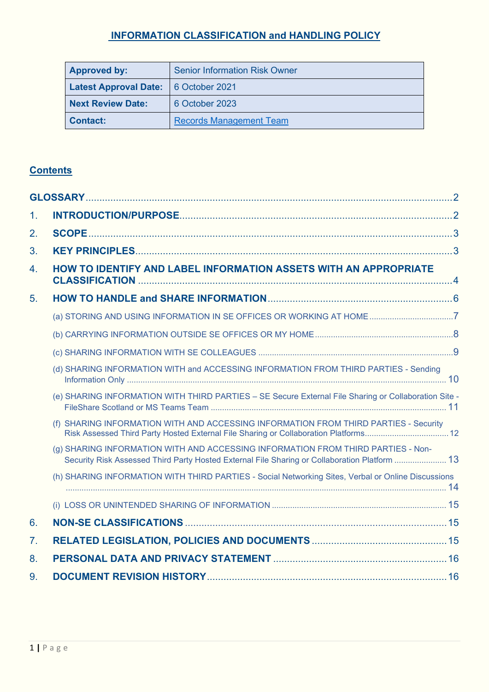# **INFORMATION CLASSIFICATION and HANDLING POLICY**

| <b>Approved by:</b>                         | <b>Senior Information Risk Owner</b> |  |  |  |
|---------------------------------------------|--------------------------------------|--|--|--|
| <b>Latest Approval Date:</b> 6 October 2021 |                                      |  |  |  |
| Next Review Date:                           | 6 October 2023                       |  |  |  |
| Contact:                                    | <b>Records Management Team</b>       |  |  |  |

# **Contents**

| 1.               |                                                                                                                                                                                   |  |
|------------------|-----------------------------------------------------------------------------------------------------------------------------------------------------------------------------------|--|
| 2.               |                                                                                                                                                                                   |  |
| 3.               |                                                                                                                                                                                   |  |
| $\overline{4}$ . | HOW TO IDENTIFY AND LABEL INFORMATION ASSETS WITH AN APPROPRIATE                                                                                                                  |  |
| 5 <sub>1</sub>   |                                                                                                                                                                                   |  |
|                  | (a) STORING AND USING INFORMATION IN SE OFFICES OR WORKING AT HOME7                                                                                                               |  |
|                  |                                                                                                                                                                                   |  |
|                  |                                                                                                                                                                                   |  |
|                  | (d) SHARING INFORMATION WITH and ACCESSING INFORMATION FROM THIRD PARTIES - Sending                                                                                               |  |
|                  | (e) SHARING INFORMATION WITH THIRD PARTIES - SE Secure External File Sharing or Collaboration Site -                                                                              |  |
|                  | (f) SHARING INFORMATION WITH AND ACCESSING INFORMATION FROM THIRD PARTIES - Security                                                                                              |  |
|                  | (g) SHARING INFORMATION WITH AND ACCESSING INFORMATION FROM THIRD PARTIES - Non-<br>Security Risk Assessed Third Party Hosted External File Sharing or Collaboration Platform  13 |  |
|                  | (h) SHARING INFORMATION WITH THIRD PARTIES - Social Networking Sites, Verbal or Online Discussions                                                                                |  |
|                  |                                                                                                                                                                                   |  |
| 6.               |                                                                                                                                                                                   |  |
| 7.               |                                                                                                                                                                                   |  |
| 8.               |                                                                                                                                                                                   |  |
| 9.               |                                                                                                                                                                                   |  |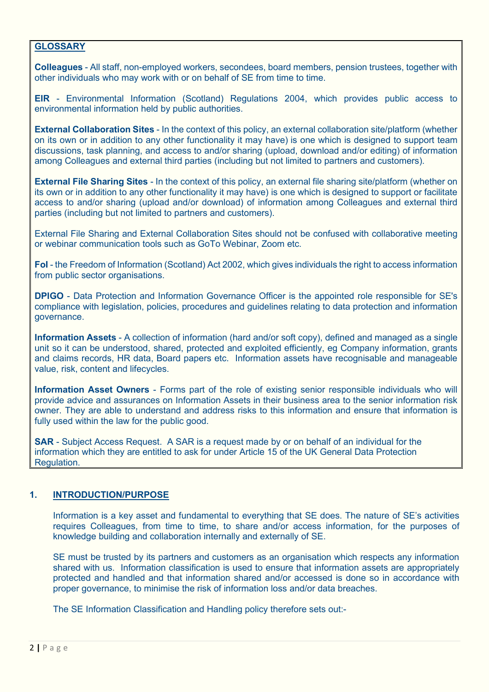### <span id="page-1-0"></span>**GLOSSARY**

**Colleagues** - All staff, non-employed workers, secondees, board members, pension trustees, together with other individuals who may work with or on behalf of SE from time to time.

**EIR** - Environmental Information (Scotland) Regulations 2004, which provides public access to environmental information held by public authorities.

**External Collaboration Sites** - In the context of this policy, an external collaboration site/platform (whether on its own or in addition to any other functionality it may have) is one which is designed to support team discussions, task planning, and access to and/or sharing (upload, download and/or editing) of information among Colleagues and external third parties (including but not limited to partners and customers).

**External File Sharing Sites** - In the context of this policy, an external file sharing site/platform (whether on its own or in addition to any other functionality it may have) is one which is designed to support or facilitate access to and/or sharing (upload and/or download) of information among Colleagues and external third parties (including but not limited to partners and customers).

External File Sharing and External Collaboration Sites should not be confused with collaborative meeting or webinar communication tools such as GoTo Webinar, Zoom etc.

**FoI** - the Freedom of Information (Scotland) Act 2002, which gives individuals the right to access information from public sector organisations.

**DPIGO** - Data Protection and Information Governance Officer is the appointed role responsible for SE's compliance with legislation, policies, procedures and guidelines relating to data protection and information governance.

**Information Assets** - A collection of information (hard and/or soft copy), defined and managed as a single unit so it can be understood, shared, protected and exploited efficiently, eg Company information, grants and claims records, HR data, Board papers etc. Information assets have recognisable and manageable value, risk, content and lifecycles.

**Information Asset Owners** - Forms part of the role of existing senior responsible individuals who will provide advice and assurances on Information Assets in their business area to the senior information risk owner. They are able to understand and address risks to this information and ensure that information is fully used within the law for the public good.

**SAR** - Subject Access Request. A SAR is a request made by or on behalf of an individual for the information which they are entitled to ask for under Article 15 of the UK General Data Protection Regulation.

### <span id="page-1-1"></span>**1. INTRODUCTION/PURPOSE**

Information is a key asset and fundamental to everything that SE does. The nature of SE's activities requires Colleagues, from time to time, to share and/or access information, for the purposes of knowledge building and collaboration internally and externally of SE.

SE must be trusted by its partners and customers as an organisation which respects any information shared with us. Information classification is used to ensure that information assets are appropriately protected and handled and that information shared and/or accessed is done so in accordance with proper governance, to minimise the risk of information loss and/or data breaches.

The SE Information Classification and Handling policy therefore sets out:-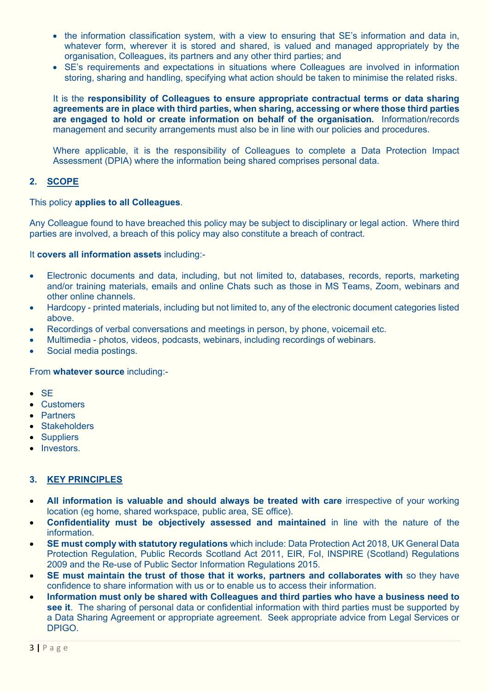- the information classification system, with a view to ensuring that SE's information and data in, whatever form, wherever it is stored and shared, is valued and managed appropriately by the organisation, Colleagues, its partners and any other third parties; and
- SE's requirements and expectations in situations where Colleagues are involved in information storing, sharing and handling, specifying what action should be taken to minimise the related risks.

It is the **responsibility of Colleagues to ensure appropriate contractual terms or data sharing agreements are in place with third parties, when sharing, accessing or where those third parties are engaged to hold or create information on behalf of the organisation.** Information/records management and security arrangements must also be in line with our policies and procedures.

Where applicable, it is the responsibility of Colleagues to complete a Data Protection Impact Assessment (DPIA) where the information being shared comprises personal data.

### <span id="page-2-0"></span>**2. SCOPE**

### This policy **applies to all Colleagues**.

Any Colleague found to have breached this policy may be subject to disciplinary or legal action. Where third parties are involved, a breach of this policy may also constitute a breach of contract.

### It **covers all information assets** including:-

- Electronic documents and data, including, but not limited to, databases, records, reports, marketing and/or training materials, emails and online Chats such as those in MS Teams, Zoom, webinars and other online channels.
- Hardcopy printed materials, including but not limited to, any of the electronic document categories listed above.
- Recordings of verbal conversations and meetings in person, by phone, voicemail etc.
- Multimedia photos, videos, podcasts, webinars, including recordings of webinars.
- Social media postings.

#### From **whatever source** including:-

- SE
- Customers
- Partners
- **Stakeholders**
- Suppliers
- Investors.

### <span id="page-2-1"></span>**3. KEY PRINCIPLES**

- **All information is valuable and should always be treated with care** irrespective of your working location (eg home, shared workspace, public area, SE office).
- **Confidentiality must be objectively assessed and maintained** in line with the nature of the information.
- **SE must comply with statutory regulations** which include: Data Protection Act 2018, UK General Data Protection Regulation, Public Records Scotland Act 2011, EIR, FoI, INSPIRE (Scotland) Regulations 2009 and the Re-use of Public Sector Information Regulations 2015.
- **SE must maintain the trust of those that it works, partners and collaborates with** so they have confidence to share information with us or to enable us to access their information.
- **Information must only be shared with Colleagues and third parties who have a business need to see it**. The sharing of personal data or confidential information with third parties must be supported by a Data Sharing Agreement or appropriate agreement. Seek appropriate advice from Legal Services or DPIGO.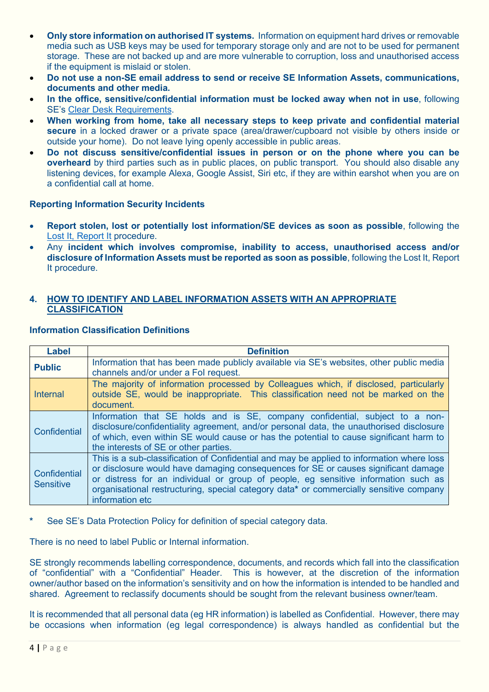- **Only store information on authorised IT systems.** Information on equipment hard drives or removable media such as USB keys may be used for temporary storage only and are not to be used for permanent storage. These are not backed up and are more vulnerable to corruption, loss and unauthorised access if the equipment is mislaid or stolen.
- **Do not use a non-SE email address to send or receive SE Information Assets, communications, documents and other media.**
- **In the office, sensitive/confidential information must be locked away when not in use**, following SE's [Clear Desk Requirements.](https://scotent.sharepoint.com/sites/Intranet/Corporate/T-fm/_layouts/15/Doc.aspx?sourcedoc=%7B9143E0EB-1D93-4C1C-99DD-0581DF89814F%7D&file=Clear%20Desk%20Requirements.docx&action=default&mobileredirect=true&DefaultItemOpen=1)
- **When working from home, take all necessary steps to keep private and confidential material secure** in a locked drawer or a private space (area/drawer/cupboard not visible by others inside or outside your home). Do not leave lying openly accessible in public areas.
- **Do not discuss sensitive/confidential issues in person or on the phone where you can be overheard** by third parties such as in public places, on public transport. You should also disable any listening devices, for example Alexa, Google Assist, Siri etc, if they are within earshot when you are on a confidential call at home.

### **Reporting Information Security Incidents**

- **Report stolen, lost or potentially lost information/SE devices as soon as possible**, following the [Lost It, Report It](https://scotent.sharepoint.com/sites/Intranet/Corporate/T-esbc/Pages/Submit-an-Incident.aspx) procedure.
- Any **incident which involves compromise, inability to access, unauthorised access and/or disclosure of Information Assets must be reported as soon as possible**, followin[g the Lost It, Report](https://scotent.sharepoint.com/sites/Intranet/Corporate/T-esbc/Pages/Submit-an-Incident.aspx)  [It procedure.](https://scotent.sharepoint.com/sites/Intranet/Corporate/T-esbc/Pages/Submit-an-Incident.aspx)

### <span id="page-3-0"></span>**4. HOW TO IDENTIFY AND LABEL INFORMATION ASSETS WITH AN APPROPRIATE CLASSIFICATION**

| <b>Label</b>                     | <b>Definition</b>                                                                                                                                                                                                                                                                                                                                                                  |  |  |  |  |  |
|----------------------------------|------------------------------------------------------------------------------------------------------------------------------------------------------------------------------------------------------------------------------------------------------------------------------------------------------------------------------------------------------------------------------------|--|--|--|--|--|
| <b>Public</b>                    | Information that has been made publicly available via SE's websites, other public media<br>channels and/or under a Fol request.                                                                                                                                                                                                                                                    |  |  |  |  |  |
| <b>Internal</b>                  | The majority of information processed by Colleagues which, if disclosed, particularly<br>outside SE, would be inappropriate. This classification need not be marked on the<br>document.                                                                                                                                                                                            |  |  |  |  |  |
| Confidential                     | Information that SE holds and is SE, company confidential, subject to a non-<br>disclosure/confidentiality agreement, and/or personal data, the unauthorised disclosure<br>of which, even within SE would cause or has the potential to cause significant harm to<br>the interests of SE or other parties.                                                                         |  |  |  |  |  |
| Confidential<br><b>Sensitive</b> | This is a sub-classification of Confidential and may be applied to information where loss<br>or disclosure would have damaging consequences for SE or causes significant damage<br>or distress for an individual or group of people, eg sensitive information such as<br>organisational restructuring, special category data* or commercially sensitive company<br>information etc |  |  |  |  |  |

### **Information Classification Definitions**

See [SE's Data Protection Policy](https://scotent.sharepoint.com/:w:/s/DPIGO/EQMiip5O3wpKi825NQXxNLEBvRQeganZBDNBOQr0a9svUg?e=A0OUU4) for definition of special category data.

There is no need to label Public or Internal information.

SE strongly recommends labelling correspondence, documents, and records which fall into the classification of "confidential" with a "Confidential" Header. This is however, at the discretion of the information owner/author based on the information's sensitivity and on how the information is intended to be handled and shared. Agreement to reclassify documents should be sought from the relevant business owner/team.

It is recommended that all personal data (eg HR information) is labelled as Confidential. However, there may be occasions when information (eg legal correspondence) is always handled as confidential but the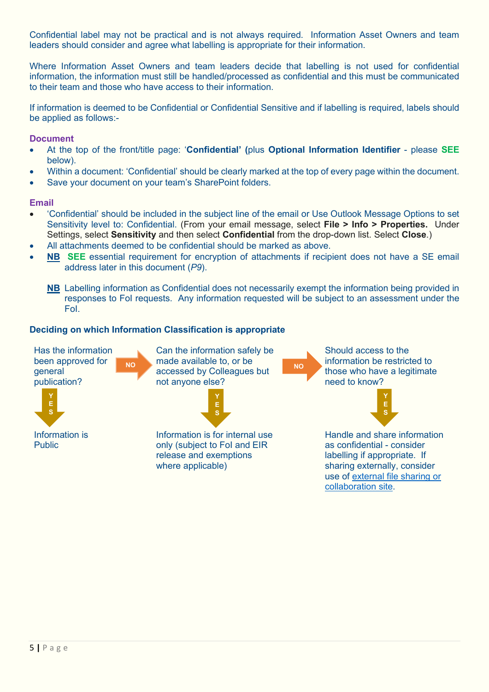Confidential label may not be practical and is not always required. Information Asset Owners and team leaders should consider and agree what labelling is appropriate for their information.

Where Information Asset Owners and team leaders decide that labelling is not used for confidential information, the information must still be handled/processed as confidential and this must be communicated to their team and those who have access to their information.

If information is deemed to be Confidential or Confidential Sensitive and if labelling is required, labels should be applied as follows:-

### **Document**

- At the top of the front/title page: '**Confidential' (**plus **Optional Information Identifier** please **SEE** below).
- Within a document: 'Confidential' should be clearly marked at the top of every page within the document.
- Save your document on your team's SharePoint folders.

### **Email**

- 'Confidential' should be included in the subject line of the email or Use Outlook Message Options to set Sensitivity level to: Confidential. (From your email message, select **File > Info > Properties.** Under Settings, select **Sensitivity** and then select **Confidential** from the drop-down list. Select **Close**.)
- All attachments deemed to be confidential should be marked as above.
- **NB SEE** essential requirement for encryption of attachments if recipient does not have a SE email address later in this document (*P9*).
	- **NB** Labelling information as Confidential does not necessarily exempt the information being provided in responses to FoI requests. Any information requested will be subject to an assessment under the FoI.

### **Deciding on which Information Classification is appropriate**

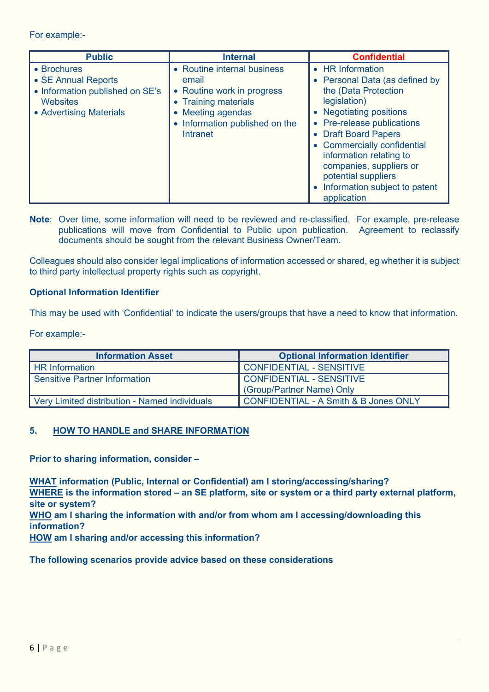For example:-

| <b>Public</b>                                                                                                | <b>Internal</b>                                                                                                                                                    | <b>Confidential</b>                                                                                                                                                                                                                                                                                                                       |
|--------------------------------------------------------------------------------------------------------------|--------------------------------------------------------------------------------------------------------------------------------------------------------------------|-------------------------------------------------------------------------------------------------------------------------------------------------------------------------------------------------------------------------------------------------------------------------------------------------------------------------------------------|
| • Brochures<br>• SE Annual Reports<br>• Information published on SE's<br>Websites<br>• Advertising Materials | • Routine internal business<br>email<br>• Routine work in progress<br>• Training materials<br>Meeting agendas<br>• Information published on the<br><b>Intranet</b> | • HR Information<br>• Personal Data (as defined by<br>the (Data Protection<br>legislation)<br>• Negotiating positions<br>• Pre-release publications<br>• Draft Board Papers<br>• Commercially confidential<br>information relating to<br>companies, suppliers or<br>potential suppliers<br>• Information subject to patent<br>application |

**Note**: Over time, some information will need to be reviewed and re-classified. For example, pre-release publications will move from Confidential to Public upon publication. Agreement to reclassify documents should be sought from the relevant Business Owner/Team.

Colleagues should also consider legal implications of information accessed or shared, eg whether it is subject to third party intellectual property rights such as copyright.

### **Optional Information Identifier**

This may be used with 'Confidential' to indicate the users/groups that have a need to know that information.

For example:-

| <b>Information Asset</b>                      | <b>Optional Information Identifier</b>           |
|-----------------------------------------------|--------------------------------------------------|
| <b>HR Information</b>                         | CONFIDENTIAL - SENSITIVE                         |
| <b>Sensitive Partner Information</b>          | CONFIDENTIAL - SENSITIVE                         |
|                                               | (Group/Partner Name) Only                        |
| Very Limited distribution - Named individuals | <b>CONFIDENTIAL - A Smith &amp; B Jones ONLY</b> |

### <span id="page-5-0"></span>**5. HOW TO HANDLE and SHARE INFORMATION**

**Prior to sharing information, consider –**

**WHAT information (Public, Internal or Confidential) am I storing/accessing/sharing? WHERE is the information stored – an SE platform, site or system or a third party external platform, site or system? WHO am I sharing the information with and/or from whom am I accessing/downloading this** 

**information?**

**HOW am I sharing and/or accessing this information?**

**The following scenarios provide advice based on these considerations**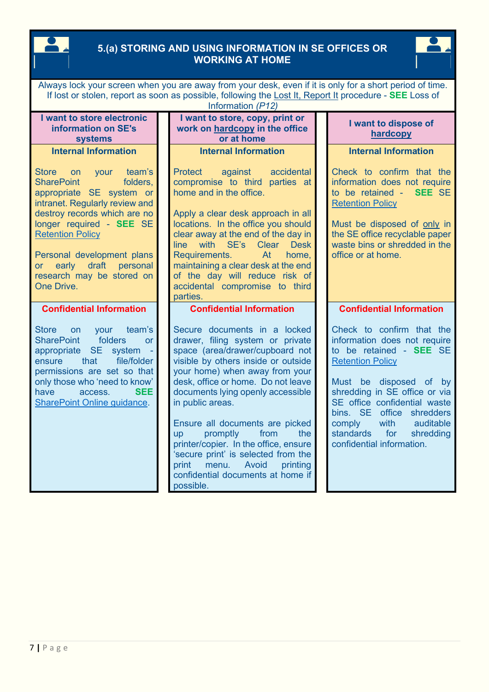# <span id="page-6-0"></span>**5.(a) STORING AND USING INFORMATION IN SE OFFICES OR WORKING AT HOME**



| Always lock your screen when you are away from your desk, even if it is only for a short period of time.<br>If lost or stolen, report as soon as possible, following the Lost It, Report It procedure - SEE Loss of<br>Information (P12)                                                                                                |  |                                                                                                                                                                                                                                                                                                                                                                                                                                                                                                                                 |  |                                                                                                                                                                                                                                                                                                                                         |  |
|-----------------------------------------------------------------------------------------------------------------------------------------------------------------------------------------------------------------------------------------------------------------------------------------------------------------------------------------|--|---------------------------------------------------------------------------------------------------------------------------------------------------------------------------------------------------------------------------------------------------------------------------------------------------------------------------------------------------------------------------------------------------------------------------------------------------------------------------------------------------------------------------------|--|-----------------------------------------------------------------------------------------------------------------------------------------------------------------------------------------------------------------------------------------------------------------------------------------------------------------------------------------|--|
| I want to store electronic<br>information on SE's<br><b>systems</b>                                                                                                                                                                                                                                                                     |  | I want to store, copy, print or<br>work on hardcopy in the office<br>or at home                                                                                                                                                                                                                                                                                                                                                                                                                                                 |  | I want to dispose of<br>hardcopy                                                                                                                                                                                                                                                                                                        |  |
| <b>Internal Information</b>                                                                                                                                                                                                                                                                                                             |  | <b>Internal Information</b>                                                                                                                                                                                                                                                                                                                                                                                                                                                                                                     |  | <b>Internal Information</b>                                                                                                                                                                                                                                                                                                             |  |
| <b>Store</b><br>team's<br>on<br>your<br><b>SharePoint</b><br>folders,<br>appropriate SE system or<br>intranet. Regularly review and<br>destroy records which are no<br>longer required - SEE SE<br><b>Retention Policy</b><br>Personal development plans<br>draft<br>early<br>personal<br>or<br>research may be stored on<br>One Drive. |  | <b>Protect</b><br>against<br>accidental<br>compromise to third parties at<br>home and in the office.<br>Apply a clear desk approach in all<br>locations. In the office you should<br>clear away at the end of the day in<br>line with SE's<br>Clear Desk<br>At<br>Requirements.<br>home,<br>maintaining a clear desk at the end<br>of the day will reduce risk of<br>accidental compromise to third<br>parties.                                                                                                                 |  | Check to confirm that the<br>information does not require<br>to be retained - SEE SE<br><b>Retention Policy</b><br>Must be disposed of only in<br>the SE office recyclable paper<br>waste bins or shredded in the<br>office or at home.                                                                                                 |  |
| <b>Confidential Information</b>                                                                                                                                                                                                                                                                                                         |  | <b>Confidential Information</b>                                                                                                                                                                                                                                                                                                                                                                                                                                                                                                 |  | <b>Confidential Information</b>                                                                                                                                                                                                                                                                                                         |  |
| <b>Store</b><br>your<br>team's<br><b>on</b><br>folders<br><b>SharePoint</b><br><b>or</b><br><b>SE</b><br>system<br>appropriate<br>that<br>file/folder<br>ensure<br>permissions are set so that<br>only those who 'need to know'<br><b>SEE</b><br>have<br>access.<br>SharePoint Online guidance.                                         |  | Secure documents in a locked<br>drawer, filing system or private<br>space (area/drawer/cupboard not<br>visible by others inside or outside<br>your home) when away from your<br>desk, office or home. Do not leave<br>documents lying openly accessible<br>in public areas.<br>Ensure all documents are picked<br>promptly<br>from<br>the<br><b>up</b><br>printer/copier. In the office, ensure<br>'secure print' is selected from the<br>Avoid<br>print<br>menu.<br>printing<br>confidential documents at home if<br>possible. |  | Check to confirm that the<br>information does not require<br>to be retained - SEE SE<br><b>Retention Policy</b><br>Must be disposed of by<br>shredding in SE office or via<br>SE office confidential waste<br>bins. SE<br>office shredders<br>with<br>auditable<br>comply<br>standards<br>for<br>shredding<br>confidential information. |  |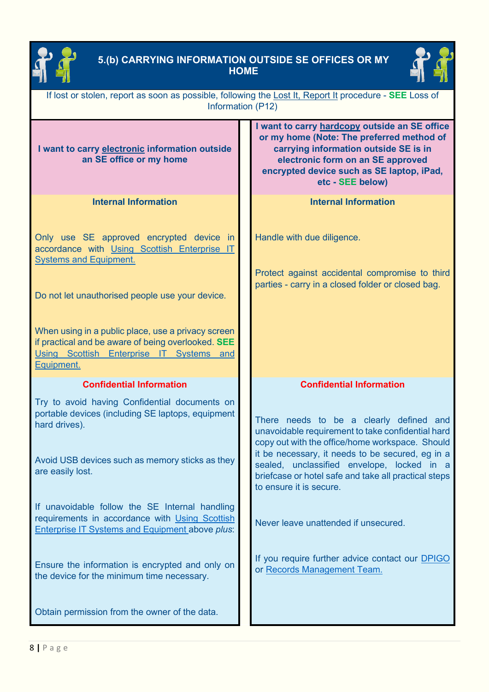

# <span id="page-7-0"></span>**5.(b) CARRYING INFORMATION OUTSIDE SE OFFICES OR MY HOME**



| If lost or stolen, report as soon as possible, following the Lost It, Report It procedure - SEE Loss of<br>Information (P12)                                       |                                                                                                                                                                                                                                           |  |  |  |  |
|--------------------------------------------------------------------------------------------------------------------------------------------------------------------|-------------------------------------------------------------------------------------------------------------------------------------------------------------------------------------------------------------------------------------------|--|--|--|--|
| I want to carry electronic information outside<br>an SE office or my home                                                                                          | I want to carry hardcopy outside an SE office<br>or my home (Note: The preferred method of<br>carrying information outside SE is in<br>electronic form on an SE approved<br>encrypted device such as SE laptop, iPad,<br>etc - SEE below) |  |  |  |  |
| <b>Internal Information</b>                                                                                                                                        | <b>Internal Information</b>                                                                                                                                                                                                               |  |  |  |  |
| Only use SE approved encrypted device in<br>accordance with Using Scottish Enterprise IT<br><b>Systems and Equipment.</b>                                          | Handle with due diligence.<br>Protect against accidental compromise to third<br>parties - carry in a closed folder or closed bag.                                                                                                         |  |  |  |  |
| Do not let unauthorised people use your device.                                                                                                                    |                                                                                                                                                                                                                                           |  |  |  |  |
| When using in a public place, use a privacy screen<br>if practical and be aware of being overlooked. SEE<br>Using Scottish Enterprise IT Systems and<br>Equipment. |                                                                                                                                                                                                                                           |  |  |  |  |
| <b>Confidential Information</b>                                                                                                                                    | <b>Confidential Information</b>                                                                                                                                                                                                           |  |  |  |  |
| Try to avoid having Confidential documents on<br>portable devices (including SE laptops, equipment<br>hard drives).                                                | There needs to be a clearly defined and<br>unavoidable requirement to take confidential hard                                                                                                                                              |  |  |  |  |
| Avoid USB devices such as memory sticks as they<br>are easily lost.                                                                                                | copy out with the office/home workspace. Should<br>it be necessary, it needs to be secured, eg in a<br>sealed, unclassified envelope, locked in a<br>briefcase or hotel safe and take all practical steps<br>to ensure it is secure.      |  |  |  |  |
| If unavoidable follow the SE Internal handling<br>requirements in accordance with Using Scottish<br><b>Enterprise IT Systems and Equipment above plus:</b>         | Never leave unattended if unsecured.                                                                                                                                                                                                      |  |  |  |  |
| Ensure the information is encrypted and only on<br>the device for the minimum time necessary.                                                                      | If you require further advice contact our DPIGO<br>or Records Management Team.                                                                                                                                                            |  |  |  |  |
| Obtain permission from the owner of the data.                                                                                                                      |                                                                                                                                                                                                                                           |  |  |  |  |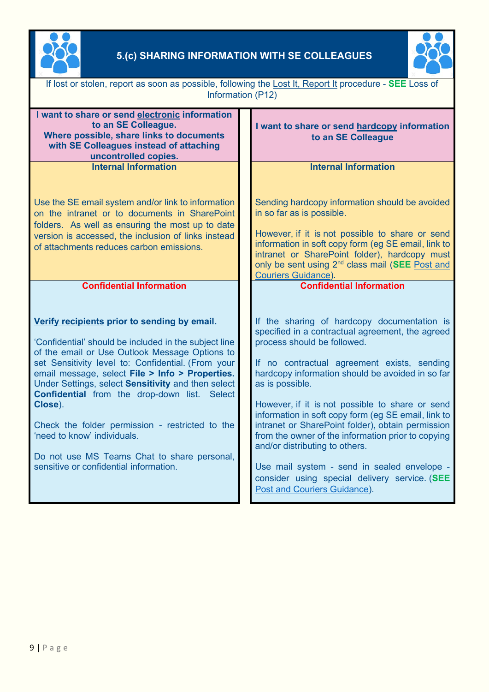

# <span id="page-8-0"></span>**5.(c) SHARING INFORMATION WITH SE COLLEAGUES**



| If lost or stolen, report as soon as possible, following the Lost It, Report It procedure - SEE Loss of<br>Information (P12)                                                                                                                                                                                                                                                                                                                                                                                                                                 |                                                                                                                                                                                                                                                                                                                                                                                                                                                                                                                                                                                                                                             |  |  |  |  |
|--------------------------------------------------------------------------------------------------------------------------------------------------------------------------------------------------------------------------------------------------------------------------------------------------------------------------------------------------------------------------------------------------------------------------------------------------------------------------------------------------------------------------------------------------------------|---------------------------------------------------------------------------------------------------------------------------------------------------------------------------------------------------------------------------------------------------------------------------------------------------------------------------------------------------------------------------------------------------------------------------------------------------------------------------------------------------------------------------------------------------------------------------------------------------------------------------------------------|--|--|--|--|
| I want to share or send electronic information<br>to an SE Colleague.<br>Where possible, share links to documents<br>with SE Colleagues instead of attaching<br>uncontrolled copies.                                                                                                                                                                                                                                                                                                                                                                         | I want to share or send hardcopy information<br>to an SE Colleague                                                                                                                                                                                                                                                                                                                                                                                                                                                                                                                                                                          |  |  |  |  |
| <b>Internal Information</b>                                                                                                                                                                                                                                                                                                                                                                                                                                                                                                                                  | <b>Internal Information</b>                                                                                                                                                                                                                                                                                                                                                                                                                                                                                                                                                                                                                 |  |  |  |  |
| Use the SE email system and/or link to information<br>on the intranet or to documents in SharePoint<br>folders. As well as ensuring the most up to date<br>version is accessed, the inclusion of links instead<br>of attachments reduces carbon emissions.                                                                                                                                                                                                                                                                                                   | Sending hardcopy information should be avoided<br>in so far as is possible.<br>However, if it is not possible to share or send<br>information in soft copy form (eg SE email, link to<br>intranet or SharePoint folder), hardcopy must<br>only be sent using 2 <sup>nd</sup> class mail (SEE Post and<br>Couriers Guidance).                                                                                                                                                                                                                                                                                                                |  |  |  |  |
| <b>Confidential Information</b>                                                                                                                                                                                                                                                                                                                                                                                                                                                                                                                              | <b>Confidential Information</b>                                                                                                                                                                                                                                                                                                                                                                                                                                                                                                                                                                                                             |  |  |  |  |
| Verify recipients prior to sending by email.<br>'Confidential' should be included in the subject line<br>of the email or Use Outlook Message Options to<br>set Sensitivity level to: Confidential. (From your<br>email message, select File > Info > Properties.<br>Under Settings, select Sensitivity and then select<br>Confidential from the drop-down list. Select<br>Close).<br>Check the folder permission - restricted to the<br>'need to know' individuals.<br>Do not use MS Teams Chat to share personal,<br>sensitive or confidential information. | If the sharing of hardcopy documentation is<br>specified in a contractual agreement, the agreed<br>process should be followed.<br>If no contractual agreement exists, sending<br>hardcopy information should be avoided in so far<br>as is possible.<br>However, if it is not possible to share or send<br>information in soft copy form (eg SE email, link to<br>intranet or SharePoint folder), obtain permission<br>from the owner of the information prior to copying<br>and/or distributing to others.<br>Use mail system - send in sealed envelope -<br>consider using special delivery service. (SEE<br>Post and Couriers Guidance). |  |  |  |  |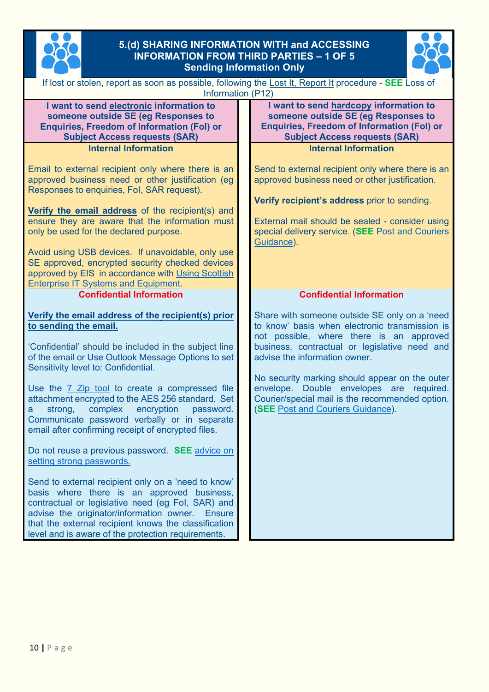

# <span id="page-9-1"></span><span id="page-9-0"></span>**5.(d) SHARING INFORMATION WITH and ACCESSING INFORMATION FROM THIRD PARTIES – 1 OF 5 Sending Information Only**



| If lost or stolen, report as soon as possible, following the Lost It, Report It procedure - SEE Loss of<br>Information (P12)                                                                                                                                                                                                                                                                                                                                                                                       |                                                                                                                                                                                                                                                                                                                                                                                                                            |  |  |  |  |  |
|--------------------------------------------------------------------------------------------------------------------------------------------------------------------------------------------------------------------------------------------------------------------------------------------------------------------------------------------------------------------------------------------------------------------------------------------------------------------------------------------------------------------|----------------------------------------------------------------------------------------------------------------------------------------------------------------------------------------------------------------------------------------------------------------------------------------------------------------------------------------------------------------------------------------------------------------------------|--|--|--|--|--|
| I want to send electronic information to<br>someone outside SE (eg Responses to<br><b>Enquiries, Freedom of Information (Fol) or</b><br><b>Subject Access requests (SAR)</b>                                                                                                                                                                                                                                                                                                                                       | I want to send hardcopy information to<br>someone outside SE (eg Responses to<br><b>Enquiries, Freedom of Information (Fol) or</b><br><b>Subject Access requests (SAR)</b>                                                                                                                                                                                                                                                 |  |  |  |  |  |
| <b>Internal Information</b>                                                                                                                                                                                                                                                                                                                                                                                                                                                                                        | <b>Internal Information</b>                                                                                                                                                                                                                                                                                                                                                                                                |  |  |  |  |  |
| Email to external recipient only where there is an<br>approved business need or other justification (eg<br>Responses to enquiries, Fol, SAR request).<br>Verify the email address of the recipient(s) and<br>ensure they are aware that the information must<br>only be used for the declared purpose.<br>Avoid using USB devices. If unavoidable, only use<br>SE approved, encrypted security checked devices<br>approved by EIS in accordance with Using Scottish<br><b>Enterprise IT Systems and Equipment.</b> | Send to external recipient only where there is an<br>approved business need or other justification.<br>Verify recipient's address prior to sending.<br>External mail should be sealed - consider using<br>special delivery service. (SEE Post and Couriers<br>Guidance).                                                                                                                                                   |  |  |  |  |  |
| <b>Confidential Information</b>                                                                                                                                                                                                                                                                                                                                                                                                                                                                                    | <b>Confidential Information</b>                                                                                                                                                                                                                                                                                                                                                                                            |  |  |  |  |  |
| Verify the email address of the recipient(s) prior<br>to sending the email.<br>'Confidential' should be included in the subject line<br>of the email or Use Outlook Message Options to set<br>Sensitivity level to: Confidential.<br>Use the 7 Zip tool to create a compressed file<br>attachment encrypted to the AES 256 standard. Set<br>complex<br>encryption<br>strong,<br>password.<br>a<br>Communicate password verbally or in separate<br>email after confirming receipt of encrypted files.               | Share with someone outside SE only on a 'need<br>to know' basis when electronic transmission is<br>not possible, where there is an approved<br>business, contractual or legislative need and<br>advise the information owner.<br>No security marking should appear on the outer<br>envelope. Double envelopes are required.<br>Courier/special mail is the recommended option.<br><b>(SEE Post and Couriers Guidance).</b> |  |  |  |  |  |
| Do not reuse a previous password. SEE advice on<br>setting strong passwords.                                                                                                                                                                                                                                                                                                                                                                                                                                       |                                                                                                                                                                                                                                                                                                                                                                                                                            |  |  |  |  |  |
| Send to external recipient only on a 'need to know'<br>basis where there is an approved business,<br>contractual or legislative need (eg Fol, SAR) and<br>advise the originator/information owner.<br><b>Ensure</b><br>that the external recipient knows the classification<br>level and is aware of the protection requirements.                                                                                                                                                                                  |                                                                                                                                                                                                                                                                                                                                                                                                                            |  |  |  |  |  |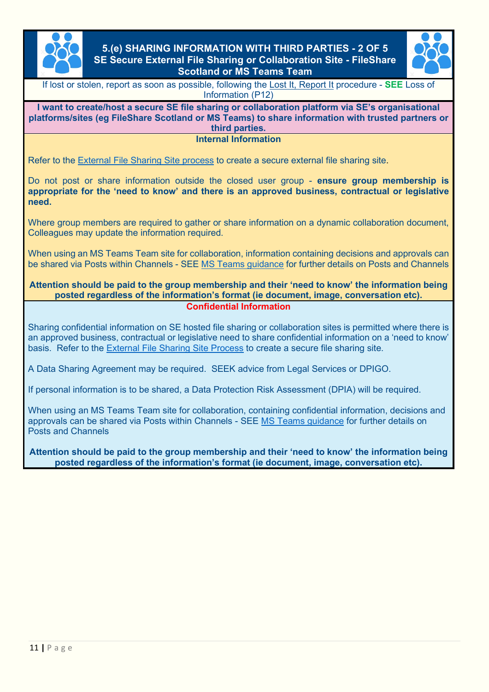

### <span id="page-10-1"></span><span id="page-10-0"></span>**5.(e) SHARING INFORMATION WITH THIRD PARTIES - 2 OF 5 SE Secure External File Sharing or Collaboration Site - FileShare Scotland or MS Teams Team**



If lost or stolen, report as soon as possible, following the [Lost It, Report It](https://scotent.sharepoint.com/sites/Intranet/Corporate/T-esbc/Pages/Submit-an-Incident.aspx) procedure - **SEE** Loss of Information (P12)

**I want to create/host a secure SE file sharing or collaboration platform via SE's organisational platforms/sites (eg FileShare Scotland or MS Teams) to share information with trusted partners or third parties.**

**Internal Information**

Refer to the [External File Sharing Site process](https://scotent.sharepoint.com/sites/Intranet/Corporate/digital-se/Pages/External-collaboration-sites.aspx) to create a secure external file sharing site.

Do not post or share information outside the closed user group - **ensure group membership is appropriate for the 'need to know' and there is an approved business, contractual or legislative need.**

Where group members are required to gather or share information on a dynamic collaboration document, Colleagues may update the information required.

When using an MS Teams Team site for collaboration, information containing decisions and approvals can be shared via Posts within Channels - SEE [MS Teams guidance](https://scotent.sharepoint.com/sites/Intranet/Corporate/digital-se/Pages/Microsoft-Teams.aspx) for further details on Posts and Channels

### **Attention should be paid to the group membership and their 'need to know' the information being posted regardless of the information's format (ie document, image, conversation etc). Confidential Information**

Sharing confidential information on SE hosted file sharing or collaboration sites is permitted where there is an approved business, contractual or legislative need to share confidential information on a 'need to know' basis. Refer to the [External File Sharing Site Process](https://scotent.sharepoint.com/sites/Intranet/Corporate/digital-se/Pages/External-collaboration-sites.aspx) to create a secure file sharing site.

A Data Sharing Agreement may be required. SEEK advice from Legal Services or DPIGO.

If personal information is to be shared, a [Data Protection Risk Assessment](https://scotent.sharepoint.com/sites/Intranet/Corporate/Corporate-cfogroup/Corporate-legalsplash/Documents/Data%20Protection%20Impact%20Assessment.docx) (DPIA) will be required.

When using an MS Teams Team site for collaboration, containing confidential information, decisions and approvals can be shared via Posts within Channels - SEE [MS Teams guidance](https://scotent.sharepoint.com/sites/Intranet/Corporate/digital-se/Pages/Microsoft-Teams.aspx) for further details on Posts and Channels

**Attention should be paid to the group membership and their 'need to know' the information being posted regardless of the information's format (ie document, image, conversation etc).**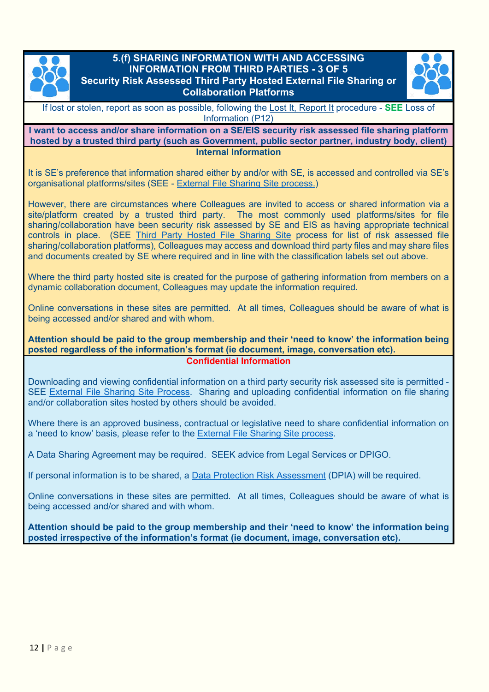

# <span id="page-11-1"></span><span id="page-11-0"></span>**5.(f) SHARING INFORMATION WITH AND ACCESSING INFORMATION FROM THIRD PARTIES - 3 OF 5 Security Risk Assessed Third Party Hosted External File Sharing or Collaboration Platforms**



If lost or stolen, report as soon as possible, following the [Lost It, Report It](https://scotent.sharepoint.com/sites/Intranet/Corporate/T-esbc/Pages/Submit-an-Incident.aspx) procedure - **SEE** Loss of Information (P12)

**I want to access and/or share information on a SE/EIS security risk assessed file sharing platform hosted by a trusted third party (such as Government, public sector partner, industry body, client) Internal Information**

It is SE's preference that information shared either by and/or with SE, is accessed and controlled via SE's organisational platforms/sites (SEE - [External File Sharing Site process.\)](https://scotent.sharepoint.com/sites/Intranet/Corporate/digital-se/Pages/External-collaboration-sites.aspx)

However, there are circumstances where Colleagues are invited to access or shared information via a site/platform created by a trusted third party. The most commonly used platforms/sites for file sharing/collaboration have been security risk assessed by SE and EIS as having appropriate technical controls in place. (SEE [Third Party Hosted File Sharing](https://scotent.sharepoint.com/sites/Intranet/Corporate/digital-se/Pages/External-collaboration-sites.aspx) Site process for list of risk assessed file sharing/collaboration platforms), Colleagues may access and download third party files and may share files and documents created by SE where required and in line with the classification labels set out above.

Where the third party hosted site is created for the purpose of gathering information from members on a dynamic collaboration document, Colleagues may update the information required.

Online conversations in these sites are permitted. At all times, Colleagues should be aware of what is being accessed and/or shared and with whom.

#### **Attention should be paid to the group membership and their 'need to know' the information being posted regardless of the information's format (ie document, image, conversation etc). Confidential Information**

Downloading and viewing confidential information on a third party security risk assessed site is permitted - SEE [External File Sharing Site Process.](https://scotent.sharepoint.com/sites/Intranet/Corporate/digital-se/Pages/External-collaboration-sites.aspx) Sharing and uploading confidential information on file sharing and/or collaboration sites hosted by others should be avoided.

Where there is an approved business, contractual or legislative need to share confidential information on a 'need to know' basis, please refer to the [External File Sharing Site process.](https://scotent.sharepoint.com/sites/Intranet/Corporate/digital-se/Pages/External-collaboration-sites.aspx)

A Data Sharing Agreement may be required. SEEK advice from Legal Services or DPIGO.

If personal information is to be shared, a [Data Protection Risk Assessment](https://scotent.sharepoint.com/sites/Intranet/Corporate/Corporate-cfogroup/Corporate-legalsplash/Documents/Data%20Protection%20Impact%20Assessment.docx) (DPIA) will be required.

Online conversations in these sites are permitted. At all times, Colleagues should be aware of what is being accessed and/or shared and with whom.

**Attention should be paid to the group membership and their 'need to know' the information being posted irrespective of the information's format (ie document, image, conversation etc).**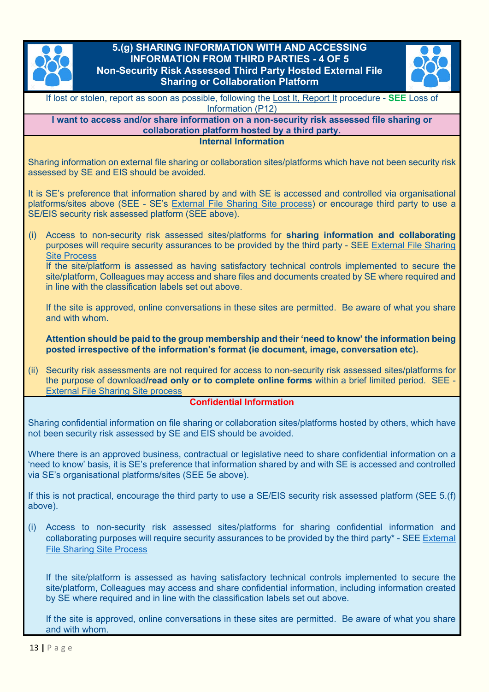

# <span id="page-12-1"></span><span id="page-12-0"></span>**5.(g) SHARING INFORMATION WITH AND ACCESSING INFORMATION FROM THIRD PARTIES - 4 OF 5 Non-Security Risk Assessed Third Party Hosted External File Sharing or Collaboration Platform**



If lost or stolen, report as soon as possible, following [the Lost It, Report It](https://scotent.sharepoint.com/sites/Intranet/Corporate/T-esbc/Pages/Submit-an-Incident.aspx) procedure - **SEE** Loss of Information (P12)

**I want to access and/or share information on a non-security risk assessed file sharing or collaboration platform hosted by a third party.**

**Internal Information**

Sharing information on external file sharing or collaboration sites/platforms which have not been security risk assessed by SE and EIS should be avoided.

It is SE's preference that information shared by and with SE is accessed and controlled via organisational platforms/sites above (SEE - SE's [External File Sharing Site process\)](https://scotent.sharepoint.com/sites/Intranet/Corporate/digital-se/Pages/External-collaboration-sites.aspx) or encourage third party to use a SE/EIS security risk assessed platform (SEE above).

(i) Access to non-security risk assessed sites/platforms for **sharing information and collaborating** purposes will require security assurances to be provided by the third party - SEE [External File Sharing](https://scotent.sharepoint.com/sites/Intranet/Corporate/digital-se/Pages/External-collaboration-sites.aspx)  [Site Process](https://scotent.sharepoint.com/sites/Intranet/Corporate/digital-se/Pages/External-collaboration-sites.aspx)

If the site/platform is assessed as having satisfactory technical controls implemented to secure the site/platform, Colleagues may access and share files and documents created by SE where required and in line with the classification labels set out above.

If the site is approved, online conversations in these sites are permitted. Be aware of what you share and with whom.

**Attention should be paid to the group membership and their 'need to know' the information being posted irrespective of the information's format (ie document, image, conversation etc).**

(ii) Security risk assessments are not required for access to non-security risk assessed sites/platforms for the purpose of download**/read only or to complete online forms** within a brief limited period. SEE - [External File Sharing Site process](https://scotent.sharepoint.com/sites/Intranet/Corporate/digital-se/Pages/External-collaboration-sites.aspx)

### **Confidential Information**

Sharing confidential information on file sharing or collaboration sites/platforms hosted by others, which have not been security risk assessed by SE and EIS should be avoided.

Where there is an approved business, contractual or legislative need to share confidential information on a 'need to know' basis, it is SE's preference that information shared by and with SE is accessed and controlled via SE's organisational platforms/sites (SEE 5e above).

If this is not practical, encourage the third party to use a SE/EIS security risk assessed platform (SEE 5.(f) above).

(i) Access to non-security risk assessed sites/platforms for sharing confidential information and collaborating purposes will require security assurances to be provided by the third party\* - SE[E External](https://scotent.sharepoint.com/sites/Intranet/Corporate/digital-se/Pages/External-collaboration-sites.aspx)  [File Sharing Site Process](https://scotent.sharepoint.com/sites/Intranet/Corporate/digital-se/Pages/External-collaboration-sites.aspx)

If the site/platform is assessed as having satisfactory technical controls implemented to secure the site/platform, Colleagues may access and share confidential information, including information created by SE where required and in line with the classification labels set out above.

If the site is approved, online conversations in these sites are permitted. Be aware of what you share and with whom.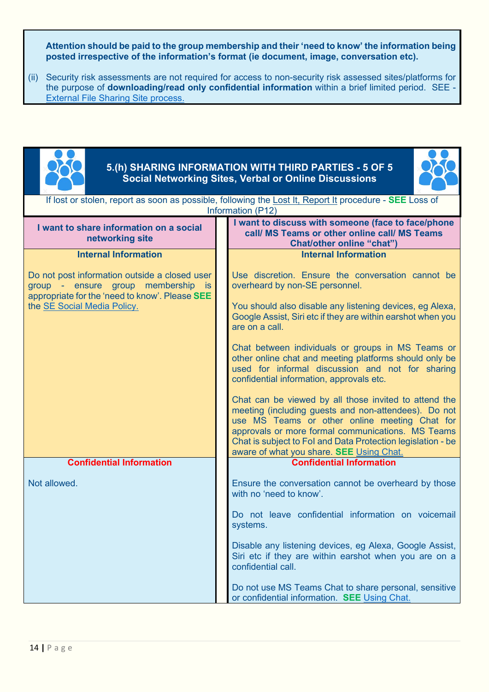**Attention should be paid to the group membership and their 'need to know' the information being posted irrespective of the information's format (ie document, image, conversation etc).**

(ii) Security risk assessments are not required for access to non-security risk assessed sites/platforms for the purpose of **downloading/read only confidential information** within a brief limited period. SEE - [External File Sharing Site process.](https://scotent.sharepoint.com/sites/Intranet/Corporate/digital-se/Pages/External-collaboration-sites.aspx)

<span id="page-13-1"></span><span id="page-13-0"></span>

| 5. (h) SHARING INFORMATION WITH THIRD PARTIES - 5 OF 5<br><b>Social Networking Sites, Verbal or Online Discussions</b>                                                                                        |                                                                                                                              |                                                                                                                                                                                                                                                                                                                                                                                                                                                                                                                                                                                                                                                                                                                                                                                                                  |  |  |  |  |  |
|---------------------------------------------------------------------------------------------------------------------------------------------------------------------------------------------------------------|------------------------------------------------------------------------------------------------------------------------------|------------------------------------------------------------------------------------------------------------------------------------------------------------------------------------------------------------------------------------------------------------------------------------------------------------------------------------------------------------------------------------------------------------------------------------------------------------------------------------------------------------------------------------------------------------------------------------------------------------------------------------------------------------------------------------------------------------------------------------------------------------------------------------------------------------------|--|--|--|--|--|
|                                                                                                                                                                                                               | If lost or stolen, report as soon as possible, following the Lost It, Report It procedure - SEE Loss of<br>Information (P12) |                                                                                                                                                                                                                                                                                                                                                                                                                                                                                                                                                                                                                                                                                                                                                                                                                  |  |  |  |  |  |
| I want to share information on a social<br>networking site                                                                                                                                                    |                                                                                                                              | I want to discuss with someone (face to face/phone<br>call/ MS Teams or other online call/ MS Teams<br><b>Chat/other online "chat")</b>                                                                                                                                                                                                                                                                                                                                                                                                                                                                                                                                                                                                                                                                          |  |  |  |  |  |
| <b>Internal Information</b><br>Do not post information outside a closed user<br>group - ensure group membership<br><b>is</b><br>appropriate for the 'need to know'. Please SEE<br>the SE Social Media Policy. |                                                                                                                              | <b>Internal Information</b><br>Use discretion. Ensure the conversation cannot be<br>overheard by non-SE personnel.<br>You should also disable any listening devices, eg Alexa,<br>Google Assist, Siri etc if they are within earshot when you<br>are on a call.<br>Chat between individuals or groups in MS Teams or<br>other online chat and meeting platforms should only be<br>used for informal discussion and not for sharing<br>confidential information, approvals etc.<br>Chat can be viewed by all those invited to attend the<br>meeting (including guests and non-attendees). Do not<br>use MS Teams or other online meeting Chat for<br>approvals or more formal communications. MS Teams<br>Chat is subject to Fol and Data Protection legislation - be<br>aware of what you share. SEE Using Chat. |  |  |  |  |  |
| <b>Confidential Information</b>                                                                                                                                                                               |                                                                                                                              | <b>Confidential Information</b>                                                                                                                                                                                                                                                                                                                                                                                                                                                                                                                                                                                                                                                                                                                                                                                  |  |  |  |  |  |
| Not allowed.                                                                                                                                                                                                  |                                                                                                                              | Ensure the conversation cannot be overheard by those<br>with no 'need to know'.                                                                                                                                                                                                                                                                                                                                                                                                                                                                                                                                                                                                                                                                                                                                  |  |  |  |  |  |
|                                                                                                                                                                                                               |                                                                                                                              | Do not leave confidential information on voicemail<br>systems.                                                                                                                                                                                                                                                                                                                                                                                                                                                                                                                                                                                                                                                                                                                                                   |  |  |  |  |  |
|                                                                                                                                                                                                               |                                                                                                                              | Disable any listening devices, eg Alexa, Google Assist,<br>Siri etc if they are within earshot when you are on a<br>confidential call.                                                                                                                                                                                                                                                                                                                                                                                                                                                                                                                                                                                                                                                                           |  |  |  |  |  |
|                                                                                                                                                                                                               |                                                                                                                              | Do not use MS Teams Chat to share personal, sensitive<br>or confidential information. SEE Using Chat.                                                                                                                                                                                                                                                                                                                                                                                                                                                                                                                                                                                                                                                                                                            |  |  |  |  |  |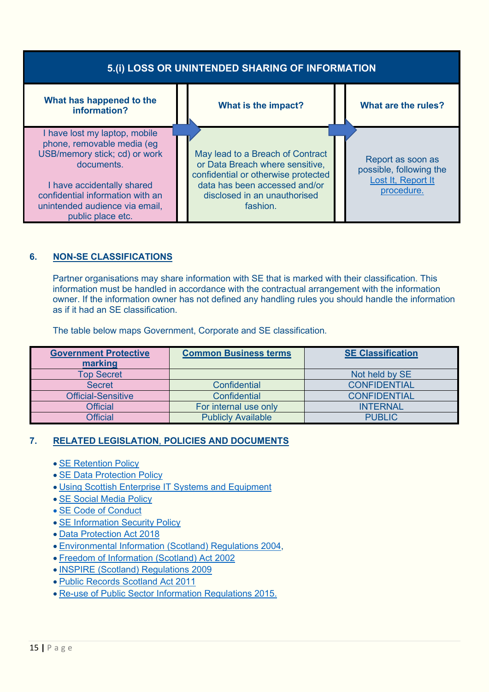<span id="page-14-0"></span>

| 5.(i) LOSS OR UNINTENDED SHARING OF INFORMATION                                                                                                                                                                                     |  |                                                                                                                                                                                         |  |                                                                                  |  |
|-------------------------------------------------------------------------------------------------------------------------------------------------------------------------------------------------------------------------------------|--|-----------------------------------------------------------------------------------------------------------------------------------------------------------------------------------------|--|----------------------------------------------------------------------------------|--|
| What has happened to the<br>information?                                                                                                                                                                                            |  | What is the impact?                                                                                                                                                                     |  | What are the rules?                                                              |  |
| I have lost my laptop, mobile<br>phone, removable media (eg<br>USB/memory stick; cd) or work<br>documents.<br>I have accidentally shared<br>confidential information with an<br>unintended audience via email,<br>public place etc. |  | May lead to a Breach of Contract<br>or Data Breach where sensitive,<br>confidential or otherwise protected<br>data has been accessed and/or<br>disclosed in an unauthorised<br>fashion. |  | Report as soon as<br>possible, following the<br>Lost It, Report It<br>procedure. |  |

# <span id="page-14-1"></span>**6. NON-SE CLASSIFICATIONS**

Partner organisations may share information with SE that is marked with their classification. This information must be handled in accordance with the contractual arrangement with the information owner. If the information owner has not defined any handling rules you should handle the information as if it had an SE classification.

The table below maps Government, Corporate and SE classification.

| <b>Government Protective</b> | <b>Common Business terms</b> | <b>SE Classification</b> |
|------------------------------|------------------------------|--------------------------|
| marking                      |                              |                          |
| <b>Top Secret</b>            |                              | Not held by SE           |
| <b>Secret</b>                | <b>Confidential</b>          | <b>CONFIDENTIAL</b>      |
| <b>Official-Sensitive</b>    | <b>Confidential</b>          | <b>CONFIDENTIAL</b>      |
| <b>Official</b>              | For internal use only        | <b>INTERNAL</b>          |
| <b>Official</b>              | <b>Publicly Available</b>    | <b>PUBLIC</b>            |

### <span id="page-14-2"></span>**7. RELATED LEGISLATION**, **POLICIES AND DOCUMENTS**

- [SE Retention Policy](https://scotent.sharepoint.com/:x:/s/Records%20Management/EXWWYpp2cAVHkH4uiJ6YDQoBbfFL0lZclQ4YlIww0QQseg?e=ihXDx4)
- [SE Data Protection Policy](https://scotent.sharepoint.com/:w:/s/DPIGO/EQMiip5O3wpKi825NQXxNLEBvRQeganZBDNBOQr0a9svUg?e=A0OUU4)
- [Using Scottish Enterprise IT Systems and Equipment](https://scotent.sharepoint.com/sites/Marketing-and-Service-Transformation/Service%20Adoption/PDF%20docs%20for%20external%20links/Using%20SE%20Equipment%20and%20Systems%20Policy/Using%20Scottish%20Enterprise%20IT%20Systems%20and%20Equipment.pdf)
- [SE Social Media Policy](https://scotent.sharepoint.com/sites/Intranet/Corporate/Hr-corp/my-policies/Pages/Social-Media-Policy.aspx)
- [SE Code of Conduct](https://scotent.sharepoint.com/sites/Intranet/Corporate/Hr-corp/my-policies/Documents/Code%20of%20Conduct.pdf#search=code%20of%20contact)
- [SE Information Security Policy](https://www.scottish-enterprise.com/media/2568/se-infomation-security-policy.pdf)
- [Data Protection Act 2018](https://www.legislation.gov.uk/ukpga/2018/12/contents/enacted)
- [Environmental Information \(Scotland\) Regulations 2004,](https://www.legislation.gov.uk/ssi/2004/520/contents/made)
- [Freedom of Information \(Scotland\) Act 2002](https://www.legislation.gov.uk/asp/2002/13/contents)
- [INSPIRE \(Scotland\) Regulations 2009](https://www.legislation.gov.uk/ssi/2009/440/2018-05-25)
- [Public Records Scotland Act 2011](https://www.legislation.gov.uk/asp/2011/12/contents)
- [Re-use of Public Sector Information Regulations 2015.](https://www.legislation.gov.uk/uksi/2015/1415/contents/made)